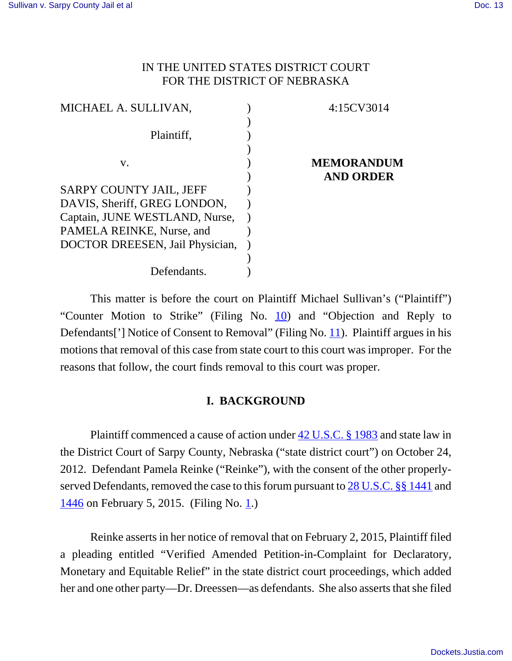## IN THE UNITED STATES DISTRICT COURT FOR THE DISTRICT OF NEBRASKA

| 4:15CV3014        |
|-------------------|
|                   |
|                   |
|                   |
| <b>MEMORANDUM</b> |
| <b>AND ORDER</b>  |
|                   |
|                   |
|                   |
|                   |
|                   |
|                   |
|                   |
|                   |

This matter is before the court on Plaintiff Michael Sullivan's ("Plaintiff") "Counter Motion to Strike" (Filing No. 10) and "Objection and Reply to Defendants<sup>[']</sup> Notice of Consent to Removal" (Filing No. 11). Plaintiff argues in his motions that removal of this case from state court to this court was improper. For the reasons that follow, the court finds removal to this court was proper.

# **I. BACKGROUND**

Plaintiff commenced a cause of action under 42 U.S.C. § 1983 and state law in the District Court of Sarpy County, Nebraska ("state district court") on October 24, 2012. Defendant Pamela Reinke ("Reinke"), with the consent of the other properlyserved Defendants, removed the case to this forum pursuant to 28 U.S.C. §§ 1441 and  $1446$  on February 5, 2015. (Filing No. 1.)

Reinke asserts in her notice of removal that on February 2, 2015, Plaintiff filed a pleading entitled "Verified Amended Petition-in-Complaint for Declaratory, Monetary and Equitable Relief" in the state district court proceedings, which added her and one other party—Dr. Dreessen—as defendants. She also asserts that she filed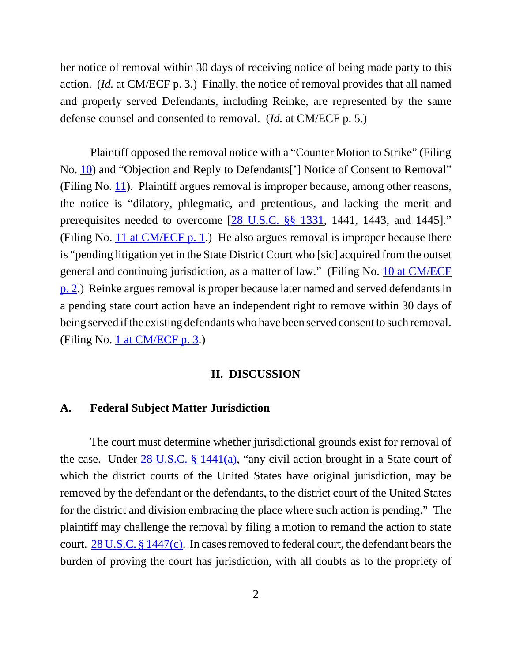her notice of removal within 30 days of receiving notice of being made party to this action. (*Id.* at CM/ECF p. 3.) Finally, the notice of removal provides that all named and properly served Defendants, including Reinke, are represented by the same defense counsel and consented to removal. (*Id.* at CM/ECF p. 5.)

Plaintiff opposed the removal notice with a "Counter Motion to Strike" (Filing No. 10) and "Objection and Reply to Defendants['] Notice of Consent to Removal" (Filing No.  $11$ ). Plaintiff argues removal is improper because, among other reasons, the notice is "dilatory, phlegmatic, and pretentious, and lacking the merit and prerequisites needed to overcome [28 U.S.C. §§ 1331, 1441, 1443, and 1445]." (Filing No.  $11$  at CM/ECF p. 1.) He also argues removal is improper because there is "pending litigation yet in the State District Court who [sic] acquired from the outset general and continuing jurisdiction, as a matter of law." (Filing No. 10 at CM/ECF p. 2.) Reinke argues removal is proper because later named and served defendants in a pending state court action have an independent right to remove within 30 days of being served if the existing defendants who have been served consent to such removal. (Filing No. 1 at CM/ECF p. 3.)

### **II. DISCUSSION**

#### **A. Federal Subject Matter Jurisdiction**

The court must determine whether jurisdictional grounds exist for removal of the case. Under 28 U.S.C. § 1441(a), "any civil action brought in a State court of which the district courts of the United States have original jurisdiction, may be removed by the defendant or the defendants, to the district court of the United States for the district and division embracing the place where such action is pending." The plaintiff may challenge the removal by filing a motion to remand the action to state court. 28 U.S.C. § 1447(c). In cases removed to federal court, the defendant bears the burden of proving the court has jurisdiction, with all doubts as to the propriety of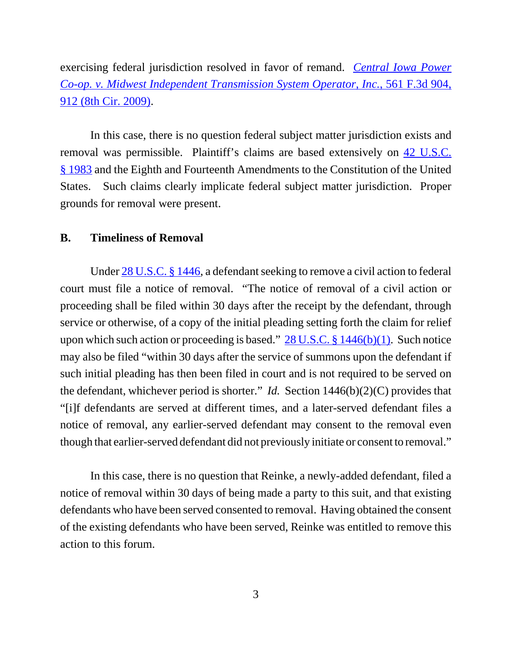exercising federal jurisdiction resolved in favor of remand. *Central Iowa Power Co-op. v. Midwest Independent Transmission System Operator, Inc.*, 561 F.3d 904, 912 (8th Cir. 2009).

In this case, there is no question federal subject matter jurisdiction exists and removal was permissible. Plaintiff's claims are based extensively on 42 U.S.C. § 1983 and the Eighth and Fourteenth Amendments to the Constitution of the United States. Such claims clearly implicate federal subject matter jurisdiction. Proper grounds for removal were present.

### **B. Timeliness of Removal**

Under 28 U.S.C. § 1446, a defendant seeking to remove a civil action to federal court must file a notice of removal. "The notice of removal of a civil action or proceeding shall be filed within 30 days after the receipt by the defendant, through service or otherwise, of a copy of the initial pleading setting forth the claim for relief upon which such action or proceeding is based."  $28$  U.S.C. § 1446(b)(1). Such notice may also be filed "within 30 days after the service of summons upon the defendant if such initial pleading has then been filed in court and is not required to be served on the defendant, whichever period is shorter." *Id.* Section 1446(b)(2)(C) provides that "[i]f defendants are served at different times, and a later-served defendant files a notice of removal, any earlier-served defendant may consent to the removal even though that earlier-served defendant did not previously initiate or consent to removal."

In this case, there is no question that Reinke, a newly-added defendant, filed a notice of removal within 30 days of being made a party to this suit, and that existing defendants who have been served consented to removal. Having obtained the consent of the existing defendants who have been served, Reinke was entitled to remove this action to this forum.